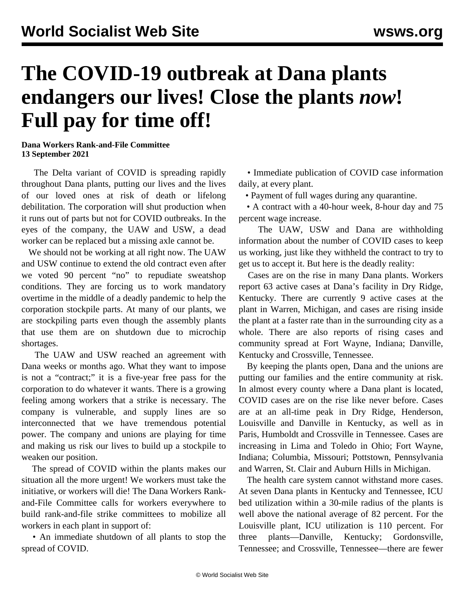## **The COVID-19 outbreak at Dana plants endangers our lives! Close the plants** *now***! Full pay for time off!**

**Dana Workers Rank-and-File Committee 13 September 2021**

 The Delta variant of COVID is spreading rapidly throughout Dana plants, putting our lives and the lives of our loved ones at risk of death or lifelong debilitation. The corporation will shut production when it runs out of parts but not for COVID outbreaks. In the eyes of the company, the UAW and USW, a dead worker can be replaced but a missing axle cannot be.

 We should not be working at all right now. The UAW and USW continue to extend the old contract even after we voted 90 percent "no" to repudiate sweatshop conditions. They are forcing us to work mandatory overtime in the middle of a deadly pandemic to help the corporation stockpile parts. At many of our plants, we are stockpiling parts even though the assembly plants that use them are on shutdown due to microchip shortages.

 The UAW and USW reached an agreement with Dana weeks or months ago. What they want to impose is not a "contract;" it is a five-year free pass for the corporation to do whatever it wants. There is a growing feeling among workers that a strike is necessary. The company is vulnerable, and supply lines are so interconnected that we have tremendous potential power. The company and unions are playing for time and making us risk our lives to build up a stockpile to weaken our position.

 The spread of COVID within the plants makes our situation all the more urgent! We workers must take the initiative, or workers will die! The Dana Workers Rankand-File Committee calls for workers everywhere to build rank-and-file strike committees to mobilize all workers in each plant in support of:

 • An immediate shutdown of all plants to stop the spread of COVID.

 • Immediate publication of COVID case information daily, at every plant.

• Payment of full wages during any quarantine.

 • A contract with a 40-hour week, 8-hour day and 75 percent wage increase.

 The UAW, USW and Dana are withholding information about the number of COVID cases to keep us working, just like they withheld the contract to try to get us to accept it. But here is the deadly reality:

 Cases are on the rise in many Dana plants. Workers report 63 active cases at Dana's facility in Dry Ridge, Kentucky. There are currently 9 active cases at the plant in Warren, Michigan, and cases are rising inside the plant at a faster rate than in the surrounding city as a whole. There are also reports of rising cases and community spread at Fort Wayne, Indiana; Danville, Kentucky and Crossville, Tennessee.

 By keeping the plants open, Dana and the unions are putting our families and the entire community at risk. In almost every county where a Dana plant is located, COVID cases are on the rise like never before. Cases are at an all-time peak in Dry Ridge, Henderson, Louisville and Danville in Kentucky, as well as in Paris, Humboldt and Crossville in Tennessee. Cases are increasing in Lima and Toledo in Ohio; Fort Wayne, Indiana; Columbia, Missouri; Pottstown, Pennsylvania and Warren, St. Clair and Auburn Hills in Michigan.

 The health care system cannot withstand more cases. At seven Dana plants in Kentucky and Tennessee, ICU bed utilization within a 30-mile radius of the plants is well above the national average of 82 percent. For the Louisville plant, ICU utilization is 110 percent. For three plants—Danville, Kentucky; Gordonsville, Tennessee; and Crossville, Tennessee—there are fewer